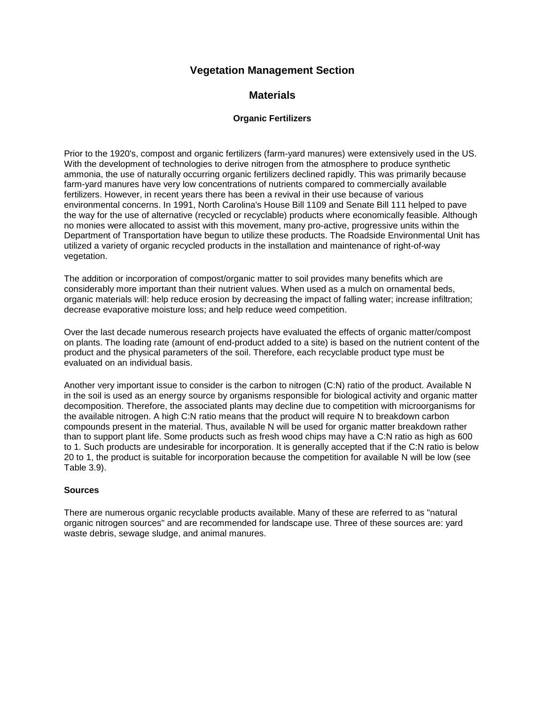# **Vegetation Management Section**

# **Materials**

#### **Organic Fertilizers**

Prior to the 1920's, compost and organic fertilizers (farm-yard manures) were extensively used in the US. With the development of technologies to derive nitrogen from the atmosphere to produce synthetic ammonia, the use of naturally occurring organic fertilizers declined rapidly. This was primarily because farm-yard manures have very low concentrations of nutrients compared to commercially available fertilizers. However, in recent years there has been a revival in their use because of various environmental concerns. In 1991, North Carolina's House Bill 1109 and Senate Bill 111 helped to pave the way for the use of alternative (recycled or recyclable) products where economically feasible. Although no monies were allocated to assist with this movement, many pro-active, progressive units within the Department of Transportation have begun to utilize these products. The Roadside Environmental Unit has utilized a variety of organic recycled products in the installation and maintenance of right-of-way vegetation.

The addition or incorporation of compost/organic matter to soil provides many benefits which are considerably more important than their nutrient values. When used as a mulch on ornamental beds, organic materials will: help reduce erosion by decreasing the impact of falling water; increase infiltration; decrease evaporative moisture loss; and help reduce weed competition.

Over the last decade numerous research projects have evaluated the effects of organic matter/compost on plants. The loading rate (amount of end-product added to a site) is based on the nutrient content of the product and the physical parameters of the soil. Therefore, each recyclable product type must be evaluated on an individual basis.

Another very important issue to consider is the carbon to nitrogen (C:N) ratio of the product. Available N in the soil is used as an energy source by organisms responsible for biological activity and organic matter decomposition. Therefore, the associated plants may decline due to competition with microorganisms for the available nitrogen. A high C:N ratio means that the product will require N to breakdown carbon compounds present in the material. Thus, available N will be used for organic matter breakdown rather than to support plant life. Some products such as fresh wood chips may have a C:N ratio as high as 600 to 1. Such products are undesirable for incorporation. It is generally accepted that if the C:N ratio is below 20 to 1, the product is suitable for incorporation because the competition for available N will be low (see Table 3.9).

#### **Sources**

There are numerous organic recyclable products available. Many of these are referred to as "natural organic nitrogen sources" and are recommended for landscape use. Three of these sources are: yard waste debris, sewage sludge, and animal manures.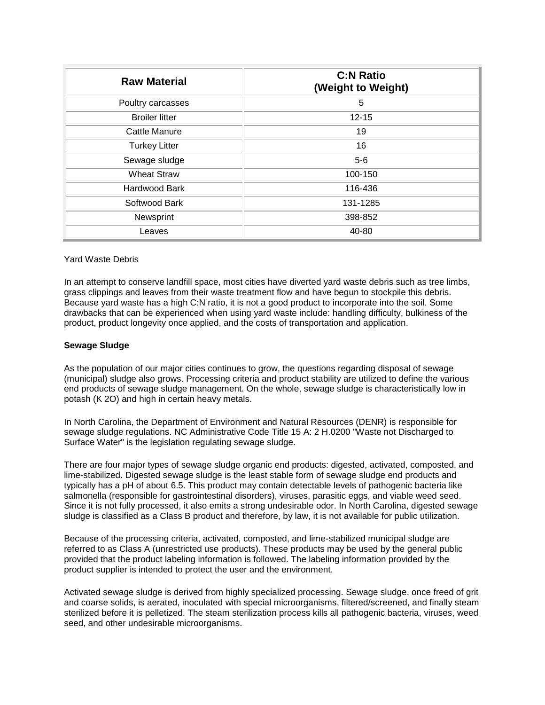| <b>Raw Material</b>   | <b>C:N Ratio</b><br>(Weight to Weight) |
|-----------------------|----------------------------------------|
| Poultry carcasses     | 5                                      |
| <b>Broiler litter</b> | $12 - 15$                              |
| Cattle Manure         | 19                                     |
| <b>Turkey Litter</b>  | 16                                     |
| Sewage sludge         | $5-6$                                  |
| <b>Wheat Straw</b>    | 100-150                                |
| <b>Hardwood Bark</b>  | 116-436                                |
| Softwood Bark         | 131-1285                               |
| Newsprint             | 398-852                                |
| Leaves                | 40-80                                  |

#### Yard Waste Debris

In an attempt to conserve landfill space, most cities have diverted yard waste debris such as tree limbs, grass clippings and leaves from their waste treatment flow and have begun to stockpile this debris. Because yard waste has a high C:N ratio, it is not a good product to incorporate into the soil. Some drawbacks that can be experienced when using yard waste include: handling difficulty, bulkiness of the product, product longevity once applied, and the costs of transportation and application.

#### **Sewage Sludge**

As the population of our major cities continues to grow, the questions regarding disposal of sewage (municipal) sludge also grows. Processing criteria and product stability are utilized to define the various end products of sewage sludge management. On the whole, sewage sludge is characteristically low in potash (K 2O) and high in certain heavy metals.

In North Carolina, the Department of Environment and Natural Resources (DENR) is responsible for sewage sludge regulations. NC Administrative Code Title 15 A: 2 H.0200 "Waste not Discharged to Surface Water" is the legislation regulating sewage sludge.

There are four major types of sewage sludge organic end products: digested, activated, composted, and lime-stabilized. Digested sewage sludge is the least stable form of sewage sludge end products and typically has a pH of about 6.5. This product may contain detectable levels of pathogenic bacteria like salmonella (responsible for gastrointestinal disorders), viruses, parasitic eggs, and viable weed seed. Since it is not fully processed, it also emits a strong undesirable odor. In North Carolina, digested sewage sludge is classified as a Class B product and therefore, by law, it is not available for public utilization.

Because of the processing criteria, activated, composted, and lime-stabilized municipal sludge are referred to as Class A (unrestricted use products). These products may be used by the general public provided that the product labeling information is followed. The labeling information provided by the product supplier is intended to protect the user and the environment.

Activated sewage sludge is derived from highly specialized processing. Sewage sludge, once freed of grit and coarse solids, is aerated, inoculated with special microorganisms, filtered/screened, and finally steam sterilized before it is pelletized. The steam sterilization process kills all pathogenic bacteria, viruses, weed seed, and other undesirable microorganisms.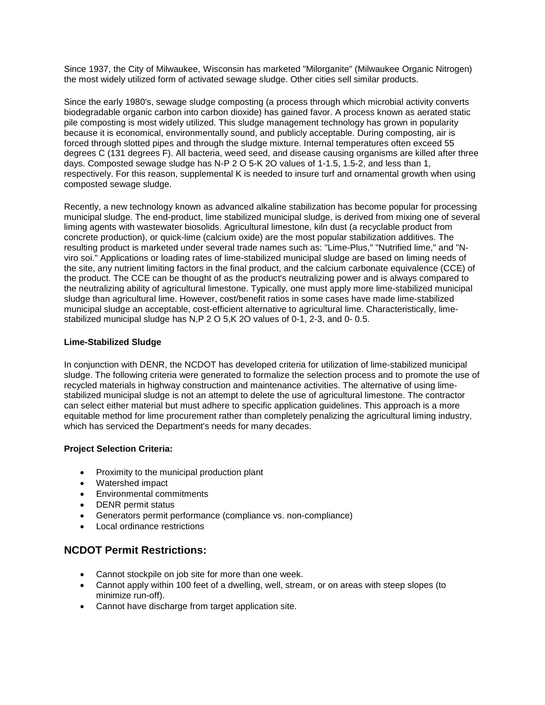Since 1937, the City of Milwaukee, Wisconsin has marketed "Milorganite" (Milwaukee Organic Nitrogen) the most widely utilized form of activated sewage sludge. Other cities sell similar products.

Since the early 1980's, sewage sludge composting (a process through which microbial activity converts biodegradable organic carbon into carbon dioxide) has gained favor. A process known as aerated static pile composting is most widely utilized. This sludge management technology has grown in popularity because it is economical, environmentally sound, and publicly acceptable. During composting, air is forced through slotted pipes and through the sludge mixture. Internal temperatures often exceed 55 degrees C (131 degrees F). All bacteria, weed seed, and disease causing organisms are killed after three days. Composted sewage sludge has N-P 2 O 5-K 2O values of 1-1.5, 1.5-2, and less than 1, respectively. For this reason, supplemental K is needed to insure turf and ornamental growth when using composted sewage sludge.

Recently, a new technology known as advanced alkaline stabilization has become popular for processing municipal sludge. The end-product, lime stabilized municipal sludge, is derived from mixing one of several liming agents with wastewater biosolids. Agricultural limestone, kiln dust (a recyclable product from concrete production), or quick-lime (calcium oxide) are the most popular stabilization additives. The resulting product is marketed under several trade names such as: "Lime-Plus," "Nutrified lime," and "Nviro soi." Applications or loading rates of lime-stabilized municipal sludge are based on liming needs of the site, any nutrient limiting factors in the final product, and the calcium carbonate equivalence (CCE) of the product. The CCE can be thought of as the product's neutralizing power and is always compared to the neutralizing ability of agricultural limestone. Typically, one must apply more lime-stabilized municipal sludge than agricultural lime. However, cost/benefit ratios in some cases have made lime-stabilized municipal sludge an acceptable, cost-efficient alternative to agricultural lime. Characteristically, limestabilized municipal sludge has N,P 2 O 5,K 2O values of 0-1, 2-3, and 0- 0.5.

#### **Lime-Stabilized Sludge**

In conjunction with DENR, the NCDOT has developed criteria for utilization of lime-stabilized municipal sludge. The following criteria were generated to formalize the selection process and to promote the use of recycled materials in highway construction and maintenance activities. The alternative of using limestabilized municipal sludge is not an attempt to delete the use of agricultural limestone. The contractor can select either material but must adhere to specific application guidelines. This approach is a more equitable method for lime procurement rather than completely penalizing the agricultural liming industry, which has serviced the Department's needs for many decades.

### **Project Selection Criteria:**

- Proximity to the municipal production plant
- Watershed impact
- Environmental commitments
- DENR permit status
- Generators permit performance (compliance vs. non-compliance)
- Local ordinance restrictions

## **NCDOT Permit Restrictions:**

- Cannot stockpile on job site for more than one week.
- Cannot apply within 100 feet of a dwelling, well, stream, or on areas with steep slopes (to minimize run-off).
- Cannot have discharge from target application site.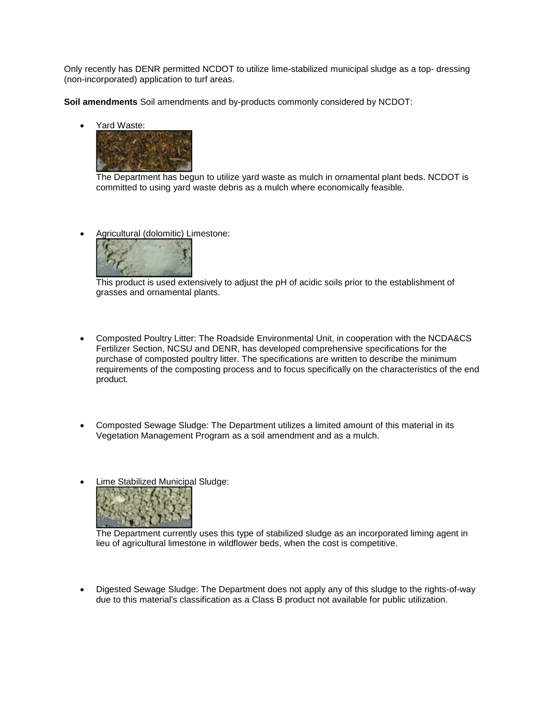Only recently has DENR permitted NCDOT to utilize lime-stabilized municipal sludge as a top- dressing (non-incorporated) application to turf areas.

**Soil amendments** Soil amendments and by-products commonly considered by NCDOT:

• Yard Waste:



The Department has begun to utilize yard waste as mulch in ornamental plant beds. NCDOT is committed to using yard waste debris as a mulch where economically feasible.

• Agricultural (dolomitic) Limestone:



This product is used extensively to adjust the pH of acidic soils prior to the establishment of grasses and ornamental plants.

- Composted Poultry Litter: The Roadside Environmental Unit, in cooperation with the NCDA&CS Fertilizer Section, NCSU and DENR, has developed comprehensive specifications for the purchase of composted poultry litter. The specifications are written to describe the minimum requirements of the composting process and to focus specifically on the characteristics of the end product.
- Composted Sewage Sludge: The Department utilizes a limited amount of this material in its Vegetation Management Program as a soil amendment and as a mulch.
- Lime Stabilized Municipal Sludge:



The Department currently uses this type of stabilized sludge as an incorporated liming agent in lieu of agricultural limestone in wildflower beds, when the cost is competitive.

• Digested Sewage Sludge: The Department does not apply any of this sludge to the rights-of-way due to this material's classification as a Class B product not available for public utilization.